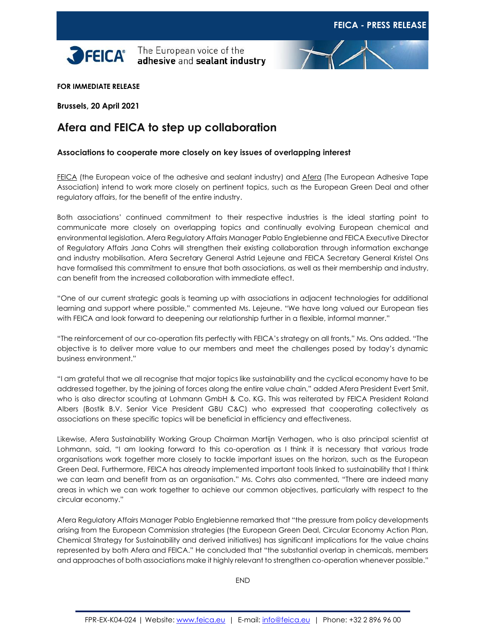



**FOR IMMEDIATE RELEASE**

**Brussels, 20 April 2021**

# **Afera and FEICA to step up collaboration**

## **Associations to cooperate more closely on key issues of overlapping interest**

[FEICA](https://www.feica.eu/) (the European voice of the adhesive and sealant industry) and [Afera](https://www.afera.com/) (The European Adhesive Tape Association) intend to work more closely on pertinent topics, such as the European Green Deal and other regulatory affairs, for the benefit of the entire industry.

Both associations' continued commitment to their respective industries is the ideal starting point to communicate more closely on overlapping topics and continually evolving European chemical and environmental legislation. Afera Regulatory Affairs Manager Pablo Englebienne and FEICA Executive Director of Regulatory Affairs Jana Cohrs will strengthen their existing collaboration through information exchange and industry mobilisation. Afera Secretary General Astrid Lejeune and FEICA Secretary General Kristel Ons have formalised this commitment to ensure that both associations, as well as their membership and industry, can benefit from the increased collaboration with immediate effect.

"One of our current strategic goals is teaming up with associations in adjacent technologies for additional learning and support where possible," commented Ms. Lejeune. "We have long valued our European ties with FEICA and look forward to deepening our relationship further in a flexible, informal manner."

"The reinforcement of our co-operation fits perfectly with FEICA's strategy on all fronts," Ms. Ons added. "The objective is to deliver more value to our members and meet the challenges posed by today's dynamic business environment."

"I am grateful that we all recognise that major topics like sustainability and the cyclical economy have to be addressed together, by the joining of forces along the entire value chain," added Afera President Evert Smit, who is also director scouting at Lohmann GmbH & Co. KG. This was reiterated by FEICA President Roland Albers (Bostik B.V. Senior Vice President GBU C&C) who expressed that cooperating collectively as associations on these specific topics will be beneficial in efficiency and effectiveness.

Likewise, Afera Sustainability Working Group Chairman Martijn Verhagen, who is also principal scientist at Lohmann, said, "I am looking forward to this co-operation as I think it is necessary that various trade organisations work together more closely to tackle important issues on the horizon, such as the European Green Deal. Furthermore, FEICA has already implemented important tools linked to sustainability that I think we can learn and benefit from as an organisation." Ms. Cohrs also commented, "There are indeed many areas in which we can work together to achieve our common objectives, particularly with respect to the circular economy."

Afera Regulatory Affairs Manager Pablo Englebienne remarked that "the pressure from policy developments arising from the European Commission strategies (the European Green Deal, Circular Economy Action Plan, Chemical Strategy for Sustainability and derived initiatives) has significant implications for the value chains represented by both Afera and FEICA." He concluded that "the substantial overlap in chemicals, members and approaches of both associations make it highly relevant to strengthen co-operation whenever possible."

END